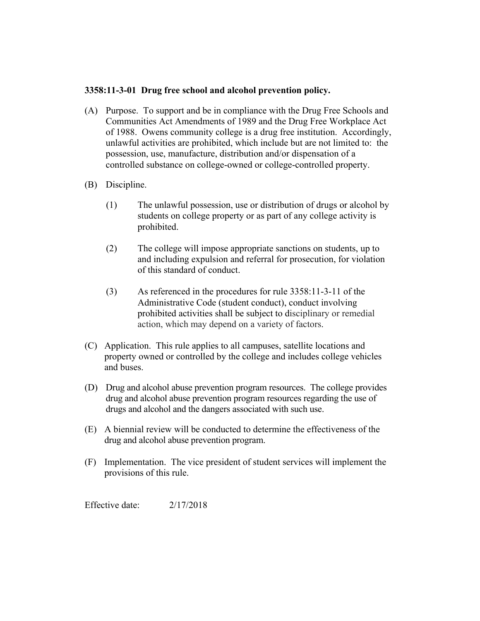## **3358:11-3-01 Drug free school and alcohol prevention policy.**

- (A) Purpose. To support and be in compliance with the Drug Free Schools and Communities Act Amendments of 1989 and the Drug Free Workplace Act of 1988. Owens community college is a drug free institution. Accordingly, unlawful activities are prohibited, which include but are not limited to: the possession, use, manufacture, distribution and/or dispensation of a controlled substance on college-owned or college-controlled property.
- (B) Discipline.
	- (1) The unlawful possession, use or distribution of drugs or alcohol by students on college property or as part of any college activity is prohibited.
	- (2) The college will impose appropriate sanctions on students, up to and including expulsion and referral for prosecution, for violation of this standard of conduct.
	- (3) As referenced in the procedures for rule 3358:11-3-11 of the Administrative Code (student conduct), conduct involving prohibited activities shall be subject to disciplinary or remedial action, which may depend on a variety of factors.
- (C) Application. This rule applies to all campuses, satellite locations and property owned or controlled by the college and includes college vehicles and buses.
- (D) Drug and alcohol abuse prevention program resources. The college provides drug and alcohol abuse prevention program resources regarding the use of drugs and alcohol and the dangers associated with such use.
- (E) A biennial review will be conducted to determine the effectiveness of the drug and alcohol abuse prevention program.
- (F) Implementation. The vice president of student services will implement the provisions of this rule.

Effective date: 2/17/2018